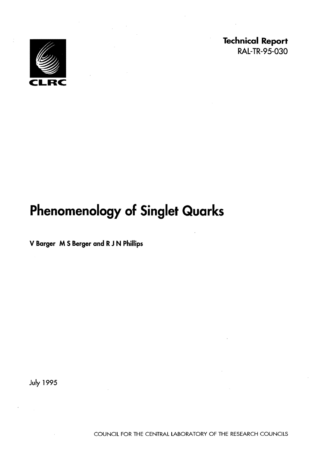

**Technical Report RAL-TR-95-030** 

# **Phenomenology of Singlet Quarks**

**V Barger M S Berger and RJN Phillips** 

July 1995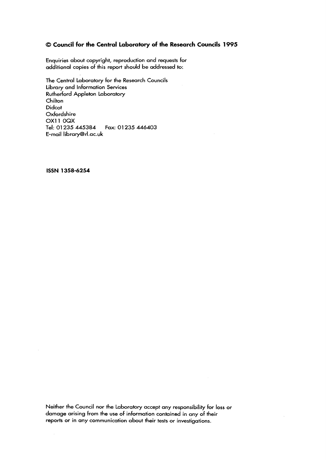# $©$  Council for the Central Laboratory of the Research Councils 1995

Enquiries about copyright, reproduction and requests for additional copies of this report should be addressed to:

The Central Laboratory for the Research Councils Library and Information Services Rutherford Appleton Laboratory **Chilton** Didcot Oxfordshire OX11 0QX<br>Tel: 01235 445384 Fax: 01235 446403 E-mail library@rl.ac.uk

**ISSN 1358-6254** 

Neither the Council nor the Laboratory accept any responsibility for loss or damage arising from the use of information contoined in any of their reports or in any communication about their tests or investigations.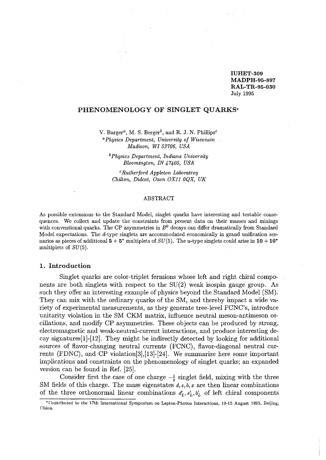**IUHET-309 MADPH-95-897 RAL-TR-95-030**  July 1995

# **PHENOMENOLOGY OF SINGLET QUARKS\***

V. Barger<sup>a</sup>, M. S. Berger<sup>b</sup>, and R. J. N. Phillips<sup>c</sup> *a Physics Department, University of Wisconsin Madison, WI 53706, USA* 

*bPhysics Department, Indiana University Bloomington, IN 47405, USA* 

C *Rutherford Appleton Laboratroy Chilton, Didcot, Oxon OXll OQX, UK* 

#### ABSTRACT

As possible extensions to the Standard Model, singlet quarks have interesting and testable consequences. We collect and update the constraints from present data on their masses and mixings with conventional quarks. The CP asymmetries in  $B<sup>0</sup>$  decays can differ dramatically from Standard Model expectations. The d-type singlets are accommodated economically in grand unification scenarios as pieces of additional  $5 + 5^*$  multiplets of *SU(5)*. The u-type singlets could arise in  $10 + 10^*$ . multiplets of  $SU(5)$ .

### **1. Introduction**

Singlet quarks are color-triplet fermions whose left and right chiral components are both singlets with respect to the SU(2) weak isospin gauge group. As such they offer an interesting example of physics beyond the Standard Model (SM). They can mix with the ordinary quarks of the SM, and thereby impact a wide variety of experimental measurements, as they generate tree-level FCNC's, introduce unitarity violation in the SM CKM matrix, influence neutral meson-antimeson osdilations, and modify CP asymmetries. These objects can be produced by strong, electromagnetic and weak-neutral-current interactions, and produce interesting decay signatures  $[1]$ - $[12]$ . They might be indirectly detected by looking for additional sources of flavor-changing neutral currents (FCNC), flavor-diagonal neutral currents (FDNC), and CP violation[3],[13]-[24]. We summarize here some important implications and constraints on the phenomenology of singlet quarks; an expanded version can be found in Ref. [25].

Consider first the case of one charge  $-\frac{1}{3}$  singlet field, mixing with the three SM fields of this charge. The mass eigenstates d, *s,* b, *x* are then linear combinations of the three orthonormal linear combinations  $d'_L, s'_L, b'_L$  of left chiral components

<sup>&#</sup>x27;Contributed to the 17th International Symposium on Lepton-Photon Interactions, 10-15 August 1995, Beijing, China.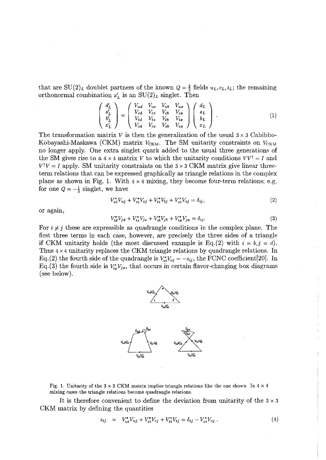that are  $SU(2)_L$  doublet partners of the known  $Q = \frac{2}{3}$  fields  $u_L, c_L, t_L$ ; the remaining orthonormal combination  $x'_L$  is an  $SU(2)_L$  singlet. Then

$$
\begin{pmatrix} d'_L \\ s'_L \\ b'_L \\ x'_L \end{pmatrix} = \begin{pmatrix} V_{ud} & V_{us} & V_{ub} & V_{ux} \\ V_{cd} & V_{cs} & V_{cb} & V_{cx} \\ V_{td} & V_{ts} & V_{tb} & V_{tx} \\ V_{od} & V_{os} & V_{ob} & V_{ox} \end{pmatrix} \begin{pmatrix} d_L \\ s_L \\ b_L \\ x_L \end{pmatrix} . \tag{1}
$$

The transformation matrix V is then the generalization of the usual  $3 \times 3$  Cabibbo-Kobayashi-Maskawa (CKM) matrix  $V_{CKM}$ . The SM unitarity constraints on  $V_{CKM}$ no longer apply. One extra singlet quark added to the usual three generations of the SM gives rise to a  $4 \times 4$  matrix *V* to which the unitarity conditions  $VV^{\dagger} = I$  and  $V^{\dagger}V = I$  apply. SM unitarity constraints on the  $3 \times 3$  CKM matrix give linear threeterm relations that can be expressed graphically as triangle relations in the complex plane as shown in Fig. 1. With  $4 \times 4$  mixing, they become four-term relations; e.g. for one  $Q = -\frac{1}{3}$  singlet, we have

$$
V_{ui}^* V_{uj} + V_{ci}^* V_{cj} + V_{ti}^* V_{tj} + V_{oi}^* V_{oj} = \delta_{ij},
$$
\n(2)

or again,

$$
V_{id}^* V_{jd} + V_{is}^* V_{js} + V_{ib}^* V_{jb} + V_{ix}^* V_{jx} = \delta_{ij}.
$$
 (3)

For  $i \neq j$  these are expressible as quadrangle conditions in the complex plane. The first three terms in each case, however, are precisely the three sides of a triangle if CKM unitarity holds (the most discussed example is Eq.(2) with  $i = b, j = d$ ). Thus  $4 \times 4$  unitarity replaces the CKM triangle relations by quadrangle relations. In Eq.(2) the fourth side of the quadrangle is  $V_{oi}^*V_{oj} = -z_{ij}$ , the FCNC coefficient[20]. In Eq.(3) the fourth side is  $V_{ix}^*V_{jx}$ , that occurs in certain flavor-changing box diagrams (see below).





It is therefore convenient to define the deviation from unitarity of the  $3 \times 3$ CKM matrix by defining the quantities

$$
z_{ij} = V_{ui}^* V_{uj} + V_{ci}^* V_{cj} + V_{ti}^* V_{tj} = \delta_{ij} - V_{oi}^* V_{oj} . \tag{4}
$$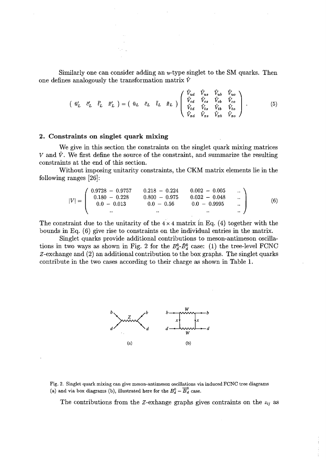Similarly one can consider adding an u-type singlet to the SM quarks. Then one defines analogously the transformation matrix  $\hat{V}$ 

$$
\begin{pmatrix}\n\bar{u}'_L & \bar{c}'_L & \bar{t}'_L & \bar{x}'_L\n\end{pmatrix} = \begin{pmatrix}\n\bar{u}_L & \bar{c}_L & \bar{t}_L & \bar{x}_L\n\end{pmatrix} \begin{pmatrix}\n\bar{V}_{ud} & \bar{V}_{us} & \bar{V}_{ub} & \bar{V}_{uo} \\
\bar{V}_{cd} & \bar{V}_{cs} & \bar{V}_{cb} & \bar{V}_{co} \\
\bar{V}_{td} & \bar{V}_{ts} & \bar{V}_{tb} & \bar{V}_{to} \\
\bar{V}_{xd} & \bar{V}_{xs} & \bar{V}_{xb} & \bar{V}_{xo}\n\end{pmatrix} .
$$
\n(5)

## **2. Constraints on singlet quark mixing**

We give in this section the constraints on the singlet quark mixing matrices V and  $\hat{V}$ . We first define the source of the constraint, and summarize the resulting constraints at the end of this section.

Without imposing unitarity constraints, the CKM matrix elements lie in the following ranges [26]:

$$
|V| = \begin{pmatrix} 0.9728 - 0.9757 & 0.218 - 0.224 & 0.002 - 0.005 & \dots \\ 0.180 - 0.228 & 0.800 - 0.975 & 0.032 - 0.048 & \dots \\ 0.0 - 0.013 & 0.0 - 0.56 & 0.0 - 0.9995 & \dots \\ \dots & \dots & \dots & \dots \end{pmatrix}
$$
(6)

The constraint due to the unitarity of the  $4 \times 4$  matrix in Eq. (4) together with the bounds in Eq. (6) give rise to constraints on the individual entries in the matrix.

Singlet quarks provide additional contributions to meson-antimeson oscillations in two ways as shown in Fig. 2 for the  $B_d^0$ - $\bar{B}_d^0$  case: (1) the tree-level FCNC z-exchange and (2) an additional contribution to the box graphs. The singlet quarks contribute in the two cases according to their charge as shown in Table 1.



Fig. 2. Singlet quark mixing can give meson-antimeson oscillations via induced FCNC tree diagrams (a) and via box diagrams (b), illustrated here for the  $B^0_d-\overline{B}^0_d$  case.

The contributions from the  $Z$ -exhange graphs gives contraints on the  $z_{ij}$  as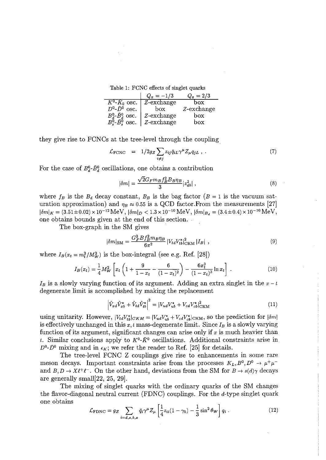Table 1: FCNC effects of singlet quarks

|                                                              | $Q_x = -1/3$                        | $Q_x = 2/3$   |
|--------------------------------------------------------------|-------------------------------------|---------------|
|                                                              | $K^0$ - $\bar{K}_0$ osc. Z-exchange | box           |
| $D^0$ - $\bar{D}^0$ osc.                                     | box                                 | $Z$ -exchange |
| $B_d^0$ - $\bar{B}_d^0$ osc.<br>$B_s^0$ - $\bar{B}_s^0$ osc. | $\vert$ Z-exchange                  | box           |
|                                                              | $ $ <i>Z</i> -exchange              | box           |

they give rise to FCNCs at the tree-level through the coupling

$$
\mathcal{L}_{\text{FCNC}} = 1/2g_Z \sum_{i \neq j} z_{ij} \bar{q}_{iL} \gamma^{\mu} Z_{\mu} q_{jL} , . \qquad (7)
$$

For the case of  $B_d^0$ - $\bar{B}_d^0$  oscillations, one obtains a contribution

$$
|\delta m| = \frac{\sqrt{2}G_F m_B f_B^2 B_B \eta_B}{3} |z_{db}^2| \,,\tag{8}
$$

where  $f_B$  is the  $B_d$  decay constant,  $B_B$  is the bag factor  $(B = 1$  is the vacuum saturation approximation) and  $\eta_B \approx 0.55$  is a QCD factor. From the measurements [27]  $|\delta m|_K = (3.51 \pm 0.02) \times 10^{-12} \,\text{MeV}, |\delta m|_D < 1.3 \times 10^{-10} \,\text{MeV}, |\delta m|_{B_d} = (3.4 \pm 0.4) \times 10^{-10} \,\text{MeV},$ one obtains bounds given at the end of this section.

The box-graph in the SM gives

$$
|\delta m|_{\rm SM} = \frac{G_F^2 B f_B^2 m_B \eta_B}{6\pi^2} |V_{td} V_{tb}^*|_{\rm CKM}^2 |I_B| \tag{9}
$$

where  $I_B(x_t = m_t^2/M_W^2)$  is the box-integral (see e.g. Ref. [28])

$$
I_B(x_t) = \frac{1}{4} M_W^2 \left[ x_t \left( 1 + \frac{9}{1 - x_t} - \frac{6}{(1 - x_t)^2} \right) - \frac{6x_t^3}{(1 - x_t)^3} \ln x_t \right] \,. \tag{10}
$$

 $I_B$  is a slowly varying function of its argument. Adding an extra singlet in the  $x - t$ degenerate limit is accomplished by making the replacement

$$
\left| \hat{V}_{xd} \hat{V}_{xb}^* + \hat{V}_{td} \hat{V}_{tb}^* \right|^2 = |V_{ud} V_{ub}^* + V_{cd} V_{cb}^*|_{\text{CKM}}^2 \tag{11}
$$

using unitarity. However,  $|V_{td}V_{tb}^*|_{CKM} = |V_{ud}V_{ub}^* + V_{cd}V_{cb}^*|_{CKM}$ , so the prediction for  $|\delta m|$ is effectively unchanged in this  $x, t$  mass-degenerate limit. Since  $I_B$  is a slowly varying function of its argument, significant changes can arise only **if** *x* is much heavier than t. Similar conclusions apply to  $K^0$ - $\bar{K}^0$  oscillations. Additional constraints arise in  $D^0$ - $\bar{D}^0$  mixing and in  $\epsilon_K$ ; we refer the reader to Ref. [25] for details.

The tree-level FCNC Z couplings give rise to enhancements in some rare meson decays. Important constraints arise from the processes  $K_L, B^0, D^0 \rightarrow \mu^+\mu^$ and  $B, D \to X \ell^+ \ell^-$ . On the other hand, deviations from the SM for  $B \to s(d) \gamma$  decays are generally small  $[22, 25, 29]$ .

The mixing of singlet quarks with the ordinary quarks of the SM changes the flavor-diagonal neutral current (FDNC) couplings. For the  $d$ -type singlet quark one obtains

$$
\mathcal{L}_{\text{FDNC}} = g_Z \sum_{i=d,s,b,x} \bar{q}_i \gamma^\mu Z_\mu \left[ \frac{1}{4} z_{ii} (1 - \gamma_5) - \frac{1}{3} \sin^2 \theta_W \right] q_i \,. \tag{12}
$$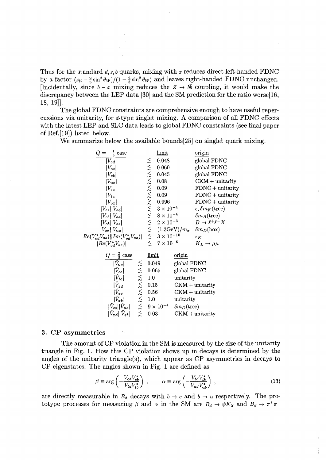Thus for the standard  $d, s, b$  quarks, mixing with x reduces direct left-handed FDNC by a factor  $(z_{ii} - \frac{2}{3}\sin^2\theta_W)/(1 - \frac{2}{3}\sin^2\theta_W)$  and leaves right-handed FDNC unchanged. [Incidentally, since  $b-x$  mixing reduces the  $Z \to b\bar{b}$  coupling, it would make the discrepancy between the LEP data [30] and the SM prediction for the ratio worse [16,  $18, 19$ ].

The global FDNC constraints are comprehensive enough to have useful repercussions via unitarity, for d-type singlet mixing. A comparison of all FDNC effects with the latest LEP and SLC data leads to global FDNC constraints (see final paper of Ref.[19]) listed below.

We summarize below the available bounds [25] on singlet quark mixing.

| $Q=-\frac{1}{3}$ case                                                                                                                                                                                                                                                                                                                                  |       | <u>limit</u> |                                                                                                                                                                                                                                                            | origin                           |
|--------------------------------------------------------------------------------------------------------------------------------------------------------------------------------------------------------------------------------------------------------------------------------------------------------------------------------------------------------|-------|--------------|------------------------------------------------------------------------------------------------------------------------------------------------------------------------------------------------------------------------------------------------------------|----------------------------------|
| $ V_{od} $                                                                                                                                                                                                                                                                                                                                             |       |              |                                                                                                                                                                                                                                                            | global FDNC                      |
| $ V_{os} $                                                                                                                                                                                                                                                                                                                                             |       |              |                                                                                                                                                                                                                                                            | global FDNC                      |
| $ V_{ob} $                                                                                                                                                                                                                                                                                                                                             |       |              |                                                                                                                                                                                                                                                            | global FDNC                      |
| $\left V_{ux}\right $                                                                                                                                                                                                                                                                                                                                  |       |              |                                                                                                                                                                                                                                                            | $CKM + unitarity$                |
| $\left V_{cx}\right $                                                                                                                                                                                                                                                                                                                                  |       |              |                                                                                                                                                                                                                                                            | $FDNC + unitarity$               |
| $ V_{tx} $                                                                                                                                                                                                                                                                                                                                             |       |              |                                                                                                                                                                                                                                                            | $\text{FDNC} + \text{unitarity}$ |
| $ V_{ox} $                                                                                                                                                                                                                                                                                                                                             |       |              |                                                                                                                                                                                                                                                            | $FDNC + unitarity$               |
| $ V_{os}  V_{od} $                                                                                                                                                                                                                                                                                                                                     |       |              |                                                                                                                                                                                                                                                            | $\epsilon, \delta m_K$ (tree)    |
| $ V_{ob}  V_{od} $                                                                                                                                                                                                                                                                                                                                     |       |              |                                                                                                                                                                                                                                                            | $\delta m_B$ (tree)              |
| $ V_{ob}  V_{os} $                                                                                                                                                                                                                                                                                                                                     |       |              |                                                                                                                                                                                                                                                            | $B \to \ell^+ \ell^- X$          |
| $ V_{cx}  V_{ux} $                                                                                                                                                                                                                                                                                                                                     |       |              |                                                                                                                                                                                                                                                            | $\delta m_D({\rm box})$          |
| $ Re(V_{od}^*V_{os})  Im(V_{od}^*V_{os}) $                                                                                                                                                                                                                                                                                                             |       |              |                                                                                                                                                                                                                                                            | $\epsilon_K$                     |
| $ Re(V_{od}^*V_{os}) $                                                                                                                                                                                                                                                                                                                                 |       |              | $\begin{array}{rcl} &\simeq&0.048\ &\simeq&0.060\ &0.045\ &\simeq&0.08\ &0.09\ &\simeq&0.09\ &0.09\ &\simeq&0.996\ &\simeq&3\times10^{-4}\ &\simeq&2\times10^{-3}\ &\simeq&1.3{\rm GeV})/m_x\ &\simeq&3\times10^{-10}\ &\simeq&7\times10^{-6} \end{array}$ | $K_L \rightarrow \mu\mu$         |
| $Q=\frac{2}{3}$ case                                                                                                                                                                                                                                                                                                                                   | limit |              | origin                                                                                                                                                                                                                                                     |                                  |
| $ \hat{V}_{uo} $                                                                                                                                                                                                                                                                                                                                       |       |              | global FDNC                                                                                                                                                                                                                                                |                                  |
| $ \hat{V}_{co} $                                                                                                                                                                                                                                                                                                                                       |       |              | global FDNC                                                                                                                                                                                                                                                |                                  |
| $ \hat{V}_{to} $                                                                                                                                                                                                                                                                                                                                       |       |              | unitarity                                                                                                                                                                                                                                                  |                                  |
| $ V_{xd} $                                                                                                                                                                                                                                                                                                                                             |       |              |                                                                                                                                                                                                                                                            | $CKM + unitarity$                |
| $ \hat{V}_{xs} $                                                                                                                                                                                                                                                                                                                                       |       |              |                                                                                                                                                                                                                                                            | $CKM + unitarity$                |
| $ \hat{V}_{xb} $                                                                                                                                                                                                                                                                                                                                       |       |              | unitarity                                                                                                                                                                                                                                                  |                                  |
| $\begin{array}{c ccc} \n\hline\n\text{V}_{\text{co}} & & \stackrel{<}{\sim} & 0.0 \\  & \begin{array}{c} \text{S} & 0.0 \\  & \text{S} & 1.0 \\  & \text{S} & 1.0 \\  & \text{S} & 0.15 \\  & \text{S} & 0.56 \\  & \text{S} & 1.0 \\  & \text{S} & 9 \times 10^{-4} \\  & \text{S} & 0.02\n\end{array}\n\end{array}$<br>$\hat{V}_{co}  \hat{V}_{uo} $ |       |              | $\delta m_D(\text{tree})$                                                                                                                                                                                                                                  |                                  |
| $\hat{V}_{xd}  \hat{V}_{xb} $                                                                                                                                                                                                                                                                                                                          |       |              |                                                                                                                                                                                                                                                            | $CKM + unitarity$                |

#### 3. CP asymmetries

The amount of CP violation in the SM is measured by the size of the unitarity triangle in Fig. 1. How this CP violation shows up in decays is determined by the angles of the unitarity triangle(s), which appear as CP asymmetries in decays to CP eigenstates. The angles shown in Fig. 1 are defined as

$$
\beta \equiv \arg \left( -\frac{V_{cd}V_{cb}^{*}}{V_{td}V_{tb}^{*}} \right) , \qquad \alpha \equiv \arg \left( -\frac{V_{td}V_{tb}^{*}}{V_{ud}V_{ub}^{*}} \right) , \qquad (13)
$$

are directly measurable in  $B_d$  decays with  $b \to c$  and  $b \to u$  respectively. The proto<br>type processes for measuring  $\beta$  and  $\alpha$  in the SM are  $B_d \to \psi K_S$  and  $B_d \to \pi^+ \pi^-$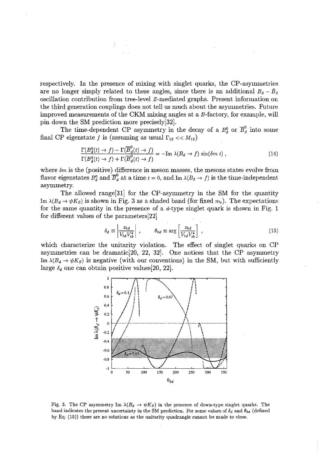respectively. In the presence of mixing with singlet quarks, the CP-asymmetries are no longer simply related to these angles, since there is an additional  $B_d - \bar{B}_d$ oscillation contribution from tree-level z-mediated graphs. Present information on the third generation couplings does not tell us much about the asymmetries. Future improved measurements of the CKM mixing angles at a B-factory, for example, will pin down the 8M prediction more precisely[32].

The time-dependent CP asymmetry in the decay of a  $B_d^0$  or  $\overline{B}_d^0$  into some final CP eigenstate f is (assuming as usual  $\Gamma_{12}$  <<  $M_{12}$ )

$$
\frac{\Gamma(B_d^0(t) \to f) - \Gamma(\overline{B}_d^0(t) \to f)}{\Gamma(B_d^0(t) \to f) + \Gamma(\overline{B}_d^0(t) \to f)} = -\text{Im }\lambda(B_d \to f) \sin(\delta m t) ,\qquad (14)
$$

where  $\delta m$  is the (positive) difference in meson masses, the mesons states evolve from flavor eigenstates  $B_d^0$  and  $\overline{B}_d^0$  at a time  $t = 0$ , and Im  $\lambda(B_d \to f)$  is the time-independent asymmetry.

The allowed range[31] for the CP-asymmetry in the 8M for the quantity Im  $\lambda(B_d \to \psi K_S)$  is shown in Fig. 3 as a shaded band (for fixed  $m_t$ ). The expectations for the same quantity in the presence of a d-type singlet quark is shown in Fig. 1 for different values of the parameters[22]

$$
\delta_d \equiv \left| \frac{z_{bd}}{V_{td} V_{tb}^*} \right| , \qquad \theta_{bd} \equiv \arg \left[ \frac{z_{bd}}{V_{td} V_{tb}^*} \right] , \qquad (15)
$$

which characterize the unitarity violation. The effect of singlet quarks on CP asymmetries can be dramatic  $[20, 22, 32]$ . One notices that the CP asymmetry Im  $\lambda(B_d \to \psi K_S)$  is negative (with our conventions) in the SM, but with sufficiently large  $\delta_d$  one can obtain positive values [20, 22].



Fig. 3. The CP asymmetry Im  $\lambda(B_d \to \psi K_S)$  in the presence of down-type singlet quarks. The band indicates the present uncertainty in the SM prediction. For some values of  $\delta_d$  and  $\theta_{bd}$  (defined by Eq. (15)) there are no solutions as the unitarity quadrangle cannot be made to close.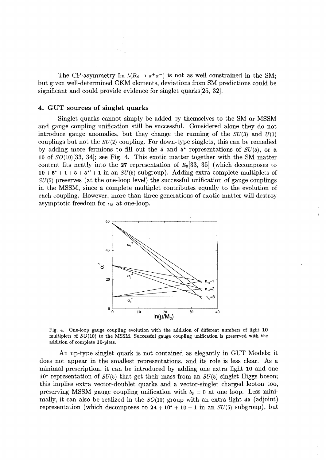The CP-asymmetry Im  $\lambda (B_d \to \pi^+ \pi^-)$  is not as well constrained in the SM; but given well-determined CKM elements, deviations from SM predictions could be significant and could provide evidence for singlet quarks[25, 32].

## 4. GUT sources of singlet quarks

Singlet quarks cannot simply be added by themselves to the SM or MSSM and gauge coupling unification still be successful. Considered alone they do not introduce gauge anomalies, but they change the running of the  $SU(3)$  and  $U(1)$ couplings but not the  $SU(2)$  coupling. For down-type singlets, this can be remedied by adding more fermions to fill out the 5 and  $5^*$  representations of  $SU(5)$ , or a 10 of SO(10)[33, 34}; see Fig. 4. This exotic matter together with the SM matter content fits neatly into the 27 representation of  $E_6[33, 35]$  (which decomposes to  $10 + 5^* + 1 + 5 + 5^{*'} + 1$  in an  $SU(5)$  subgroup). Adding extra complete multiplets of  $SU(5)$  preserves (at the one-loop level) the successful unification of gauge couplings in the MSSM, since a complete multiplet contributes equally to the evolution of each coupling. However, more than three generations of exotic matter will destroy asymptotic freedom for  $\alpha_3$  at one-loop.



Fig. 4. One-loop gauge coupling evolution with the addition of different numbers of light 10 multiplets of  $SO(10)$  to the MSSM. Successful gauge coupling unification is preserved with the addition of complete lO-plets.

An up-type singlet quark is not contained as elegantly in GUT Models; it does not appear in the smallest representations, and its role is less clear. As a minimal prescription, it can be introduced by adding one extra light 10 and one 10\* representation of  $SU(5)$  that get their mass from an  $SU(5)$  singlet Higgs boson; this implies extra vector-doublet quarks and a vector-singlet charged lepton too, preserving MSSM gauge coupling unification with  $b_3 = 0$  at one loop. Less minimally, it can also be realized in the  $SO(10)$  group with an extra light 45 (adjoint) representation (which decomposes to  $24 + 10^* + 10 + 1$  in an  $SU(5)$  subgroup), but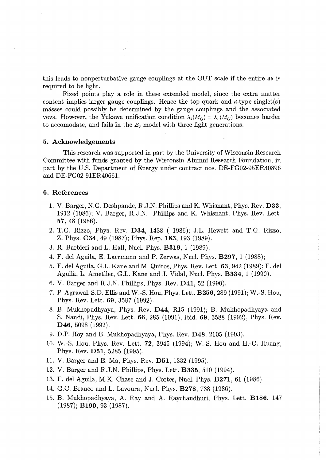this leads to nonperturbative gauge couplings at the GUT scale if the entire 45 is required to be light.

Fixed points playa role in these extended model, since the extra matter content implies larger gauge couplings. Hence the top quark and  $d$ -type singlet(s) masses could possibly be determined by the gauge couplings and the associated vevs. However, the Yukawa unification condition  $\lambda_b(M_a) = \lambda_r(M_a)$  becomes harder to accomodate, and fails in the *E6* model with three light generations.

## 5. Acknowledgements

This research was supported in part by the University of Wisconsin Research Committee with funds granted by the Wisconsin Alumni Research Foundation, in part by the U.S. Department of Energy under contract nos. DE-FG02-95ER40896 and DE-FG02-91ER40661.

# 6. References

- 1. V. Barger, N.G. Deshpande, R.J.N. Phillips and K. Whisnant, Phys. Rev. D33, 1912 (1986); V. Barger, R.J.N. Phillips and K. Whisnant, Phys. Rev. Lett. 57, 48 (1986).
- 2. T.G. Rizzo, Phys. Rev. D34, 1438 ( 1986); J.L. Hewett and T.G. Rizzo, Z. Phys. C34, 49 (1987); Phys. Rep. 183, 193 (1989).
- 3. R. Barbieri and L. Hall, Nucl. Phys. B319, 1 (1989).
- 4. F. del Aguila, E. Laermann and P. Zerwas, Nucl. Phys. B297, 1 (1988);
- 5. F. delAguila, G.L. Kane and M. Quiros, Phys. Rev. Lett. 63, 942 (1989); F. del Aguila, L. Ametller, G.L. Kane and J. Vidal, Nucl. Phys. B334, 1 (1990).
- 6. V. Barger and R.J.N. Phillips, Phys. Rev. D41, 52 (1990).
- 7. P. Agrawal, S.D. Ellis and W.-S. Hou, Phys. Lett. B256, 289 (1991); W.-S. Hou, Phys. Rev. Lett. 69, 3587 (1992).
- 8. B. Mukhopadhyaya, Phys. Rev. D44, R15 (1991); B. Mukhopadhyaya and S. Nandi, Phys. Rev. Lett. 66, 285 (1991), ibid. 69, 3588 (1992), Phys. Rev. D46, 5098 (1992).
- 9. D.P. Roy and B. Mukhopadhyaya, Phys. Rev. D48, 2105 (1993).
- 10. W.-S. Hou, Phys. Rev. Lett. 72, 3945 (1994); W.-S. Hou and H.-C. Huang, Phys. Rev. D51, 5285 (1995).
- 11. V. Barger and E. Ma, Phys. Rev. D51, 1332 (1995).
- 12. V. Barger and R.J.N. Phillips, Phys. Lett. B335, 510 (1994).
- 13. F. del Aguila, M.K. Chase and J. Cortes, Nucl. Phys. B271, 61 (1986).
- 14. G.C. Branco and L. Lavoura, Nucl. Phys. B278, 738 (1986).
- 15. B. Mukhopadhyaya, A. Ray and A. Raychaudhuri, Phys. Lett. B186, 147 (1987); B190, 93 (1987).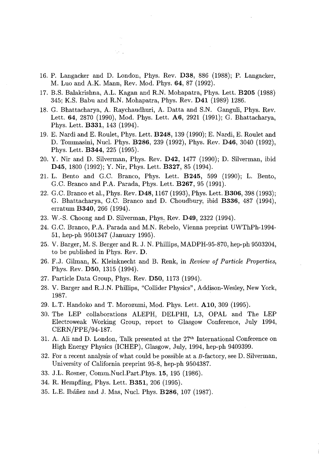16. P. Langacker and D. London, Phys. Rev. D38, 886 (1988); P. Langacker, M. Luo and A.K. Mann, Rev. Mod. Phys. 64, 87 (1992).

tik i

- 17. B.S. Balakrishna, A.L. Kagan and R.N. Mohapatra, Phys. Lett. B205 (1988) 345; K.S. Babu and R.N. Mohapatra, Phys. Rev. D41 (1989) 1286.
- 18. G. Bhattacharya, A. Raychaudhuri, A. Datta and S.N. Ganguli, Phys. Rev. Lett. 64, 2870 (1990), Mod. Phys. Lett. A6, 2921 (1991); G. Bhattacharya, Phys. Lett. B331, 143 (1994).
- 19. E. Nardi and E. Roulet, Phys. Lett. B248, 139 (1990); E. Nardi, E. Roulet and D. Tommasini, Nucl. Phys. B286, 239 (1992), Phys. Rev. D46, 3040 (1992), Phys. Lett. B344, 225 (1995).
- 20. Y. Nir and D. Silverman, Phys. Rev. D42, 1477 (1990); D. Silverman, ibid D45, 1800 (1992); Y. Nir, Phys. Lett. B327, 85 (1994).
- 21. L. Bento and G.C. Branco, Phys. Lett. B245, 599 (1990); L. Bento, G.C. Branco and P.A. Parada, Phys. Lett. **B267**, 95 (1991).
- 22. G.C. Branco et al., Phys. Rev. D48, 1167 (1993), Phys. Lett. B306, 398 (1993); G. Bhattacharya, G.C. Branco and D. Choudbury, ibid B336, 487 (1994), erratum B340, 266 (1994).
- 23. W.-S. Choong and D. Silverman, Phys. Rev. D49, 2322 (1994).
- 24. G.C. Branco, P.A. Parada and M.N. Rebelo, Vienna preprint UWThPh-1994 51, hep-ph 9501347 (January 1995).
- 25. V. Barger, M. S. Berger and R. J. N. Phillips, MADPH-95-870, hep-ph 9503204, to be published in Phys. Rev. D.
- 26. F.J. Gilman, K. Kleinknecht and B. Renk, in *Review of Particle Properties,*  Phys. Rev. D50, 1315 (1994).
- 27. Particle Data Group, Phys. Rev. D50, 1173 (1994).
- 28. V. Barger and R.J.N. Phillips, "Collider Physics", Addison-Wesley, New York, 1987. .
- 29. L.T. Handoko and T. Morozumi, Mod. Phys. Lett. AI0, 309 (1995).
- 30. The LEP collaborations ALEPH, DELPHI, L3, OPAL and The LEP Electroweak Working Group, report to Glasgow Conference, July 1994, CERN/PPE/94-187.
- 31. A. Ali and D. London, Talk presented at the  $27<sup>th</sup>$  International Conference on High Energy Physics (ICHEP), Glasgow, July, 1994, hep-ph 9409399.
- 32. For a recent analysis of what could be possible at a B-factory, see D. Silverman, University of California preprint 95-8, hep-ph 9504387.
- 33. J.L. Rosner, Comm.Nucl.Part.Phys. 15, 195 (1986).
- 34. R. Hempfling, Phys. Lett. B351, 206 (1995).
- 35. L.E. Ibanez and J. Mas, NucL Phys. B286, 107 (1987).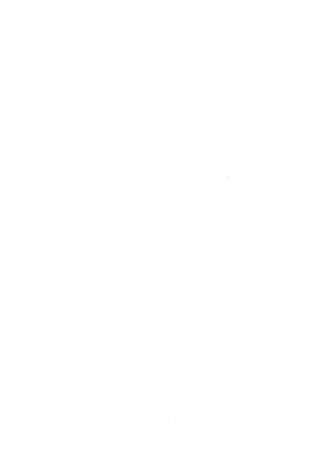$\frac{1}{2}$  $\label{eq:2.1} \frac{1}{\sqrt{2}}\int_{\mathbb{R}^3}\frac{1}{\sqrt{2}}\left(\frac{1}{\sqrt{2}}\right)^2\frac{1}{\sqrt{2}}\left(\frac{1}{\sqrt{2}}\right)^2\frac{1}{\sqrt{2}}\left(\frac{1}{\sqrt{2}}\right)^2\frac{1}{\sqrt{2}}\left(\frac{1}{\sqrt{2}}\right)^2.$  $\label{eq:2.1} \frac{1}{\sqrt{2}}\left(\frac{1}{\sqrt{2}}\right)^{2} \left(\frac{1}{\sqrt{2}}\right)^{2} \left(\frac{1}{\sqrt{2}}\right)^{2} \left(\frac{1}{\sqrt{2}}\right)^{2} \left(\frac{1}{\sqrt{2}}\right)^{2} \left(\frac{1}{\sqrt{2}}\right)^{2} \left(\frac{1}{\sqrt{2}}\right)^{2} \left(\frac{1}{\sqrt{2}}\right)^{2} \left(\frac{1}{\sqrt{2}}\right)^{2} \left(\frac{1}{\sqrt{2}}\right)^{2} \left(\frac{1}{\sqrt{2}}\right)^{2} \left(\$ 

 $\label{eq:2.1} \frac{1}{\sqrt{2}}\int_{\mathbb{R}^3}\frac{1}{\sqrt{2}}\left(\frac{1}{\sqrt{2}}\right)^2\frac{1}{\sqrt{2}}\left(\frac{1}{\sqrt{2}}\right)^2\frac{1}{\sqrt{2}}\left(\frac{1}{\sqrt{2}}\right)^2\frac{1}{\sqrt{2}}\left(\frac{1}{\sqrt{2}}\right)^2.$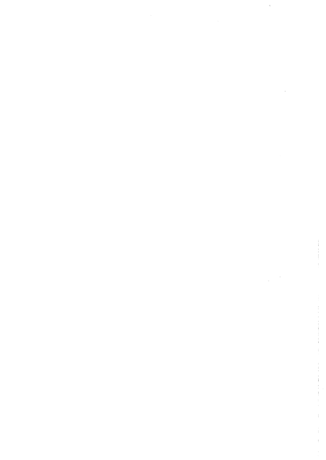$\frac{1}{2}$ 

 $\sim 10^6$  $\frac{1}{\sqrt{2}}\left(\frac{1}{\sqrt{2}}\right)^{2}=\frac{1}{2}\left(\frac{1}{2}\right)^{2}$ 

 $\frac{1}{2}$ 

 $\tilde{\mathcal{A}}$